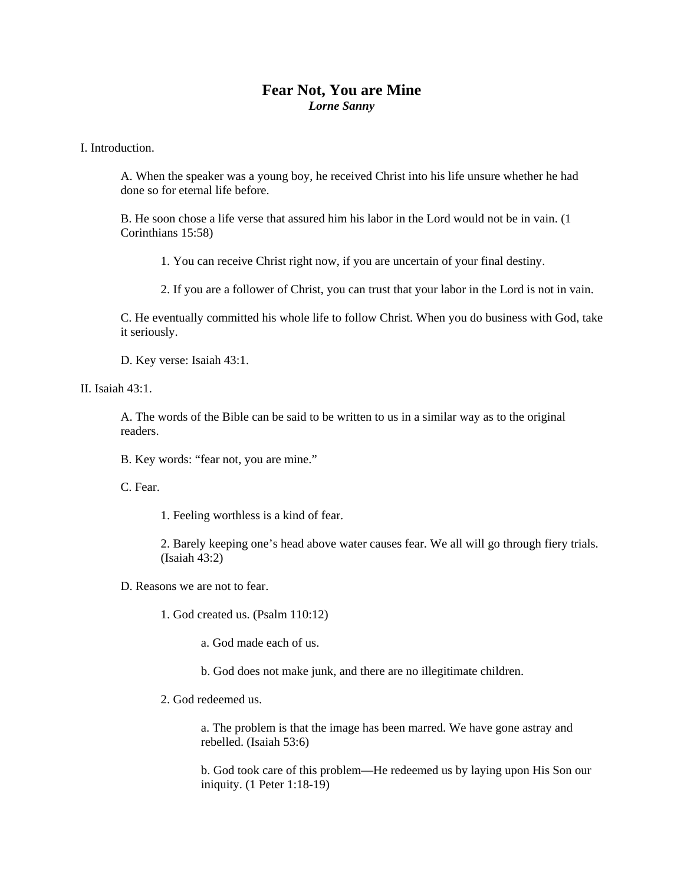## **Fear Not, You are Mine**  *Lorne Sanny*

I. Introduction.

A. When the speaker was a young boy, he received Christ into his life unsure whether he had done so for eternal life before.

B. He soon chose a life verse that assured him his labor in the Lord would not be in vain. (1 Corinthians 15:58)

1. You can receive Christ right now, if you are uncertain of your final destiny.

2. If you are a follower of Christ, you can trust that your labor in the Lord is not in vain.

C. He eventually committed his whole life to follow Christ. When you do business with God, take it seriously.

D. Key verse: Isaiah 43:1.

II. Isaiah  $43 \cdot 1$ .

A. The words of the Bible can be said to be written to us in a similar way as to the original readers.

B. Key words: "fear not, you are mine."

C. Fear.

1. Feeling worthless is a kind of fear.

2. Barely keeping one's head above water causes fear. We all will go through fiery trials. (Isaiah 43:2)

D. Reasons we are not to fear.

1. God created us. (Psalm 110:12)

a. God made each of us.

b. God does not make junk, and there are no illegitimate children.

2. God redeemed us.

a. The problem is that the image has been marred. We have gone astray and rebelled. (Isaiah 53:6)

b. God took care of this problem—He redeemed us by laying upon His Son our iniquity. (1 Peter 1:18-19)